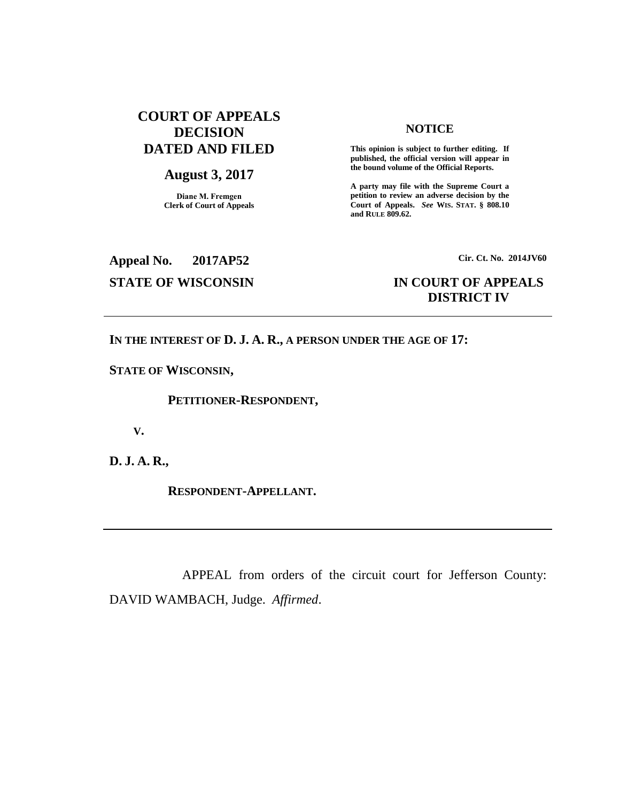# **COURT OF APPEALS DECISION DATED AND FILED**

## **August 3, 2017**

**Diane M. Fremgen Clerk of Court of Appeals**

#### **NOTICE**

**This opinion is subject to further editing. If published, the official version will appear in the bound volume of the Official Reports.** 

**A party may file with the Supreme Court a petition to review an adverse decision by the Court of Appeals.** *See* **WIS. STAT. § 808.10 and RULE 809.62.** 

**Appeal No. 2017AP52 Cir. Ct. No. 2014JV60**

# **STATE OF WISCONSIN IN COURT OF APPEALS DISTRICT IV**

### **IN THE INTEREST OF D. J. A. R., A PERSON UNDER THE AGE OF 17:**

**STATE OF WISCONSIN,**

 **PETITIONER-RESPONDENT,**

 **V.**

**D. J. A. R.,**

 **RESPONDENT-APPELLANT.**

APPEAL from orders of the circuit court for Jefferson County: DAVID WAMBACH, Judge. *Affirmed*.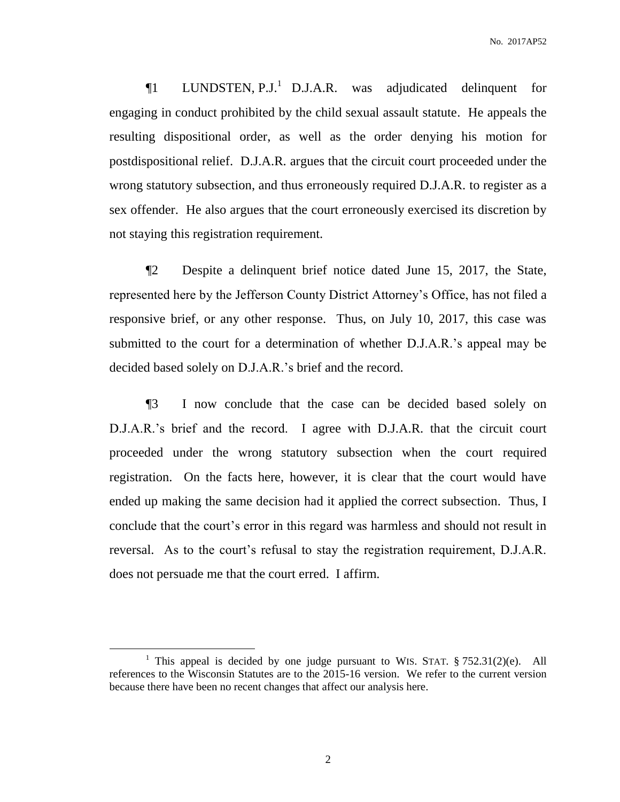$\P1$  LUNDSTEN, P.J.<sup>1</sup> D.J.A.R. was adjudicated delinquent for engaging in conduct prohibited by the child sexual assault statute. He appeals the resulting dispositional order, as well as the order denying his motion for postdispositional relief. D.J.A.R. argues that the circuit court proceeded under the wrong statutory subsection, and thus erroneously required D.J.A.R. to register as a sex offender. He also argues that the court erroneously exercised its discretion by not staying this registration requirement.

¶2 Despite a delinquent brief notice dated June 15, 2017, the State, represented here by the Jefferson County District Attorney's Office, has not filed a responsive brief, or any other response. Thus, on July 10, 2017, this case was submitted to the court for a determination of whether D.J.A.R.'s appeal may be decided based solely on D.J.A.R.'s brief and the record.

¶3 I now conclude that the case can be decided based solely on D.J.A.R.'s brief and the record. I agree with D.J.A.R. that the circuit court proceeded under the wrong statutory subsection when the court required registration. On the facts here, however, it is clear that the court would have ended up making the same decision had it applied the correct subsection. Thus, I conclude that the court's error in this regard was harmless and should not result in reversal. As to the court's refusal to stay the registration requirement, D.J.A.R. does not persuade me that the court erred. I affirm.

 $\overline{a}$ 

<sup>&</sup>lt;sup>1</sup> This appeal is decided by one judge pursuant to WIS. STAT.  $§ 752.31(2)(e)$ . All references to the Wisconsin Statutes are to the 2015-16 version. We refer to the current version because there have been no recent changes that affect our analysis here.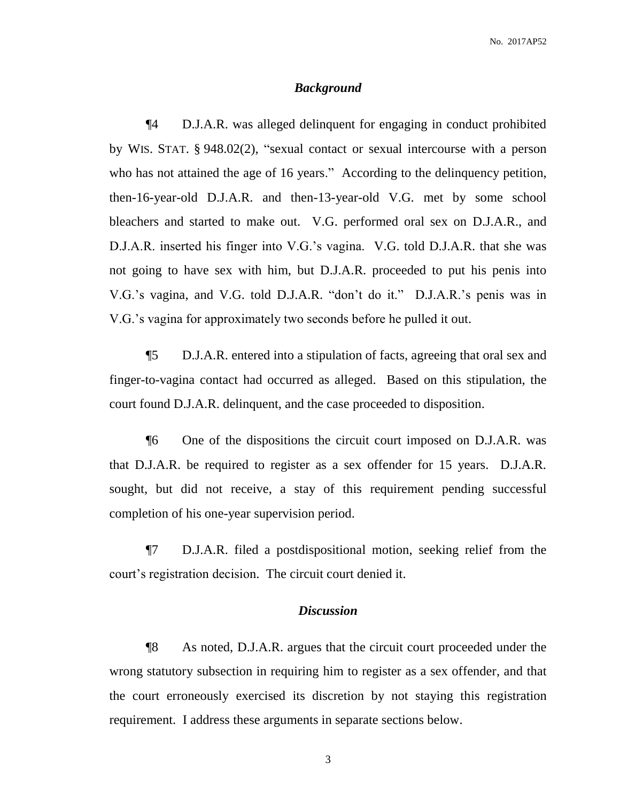#### *Background*

¶4 D.J.A.R. was alleged delinquent for engaging in conduct prohibited by WIS. STAT. § 948.02(2), "sexual contact or sexual intercourse with a person who has not attained the age of 16 years." According to the delinquency petition, then-16-year-old D.J.A.R. and then-13-year-old V.G. met by some school bleachers and started to make out. V.G. performed oral sex on D.J.A.R., and D.J.A.R. inserted his finger into V.G.'s vagina. V.G. told D.J.A.R. that she was not going to have sex with him, but D.J.A.R. proceeded to put his penis into V.G.'s vagina, and V.G. told D.J.A.R. "don't do it." D.J.A.R.'s penis was in V.G.'s vagina for approximately two seconds before he pulled it out.

¶5 D.J.A.R. entered into a stipulation of facts, agreeing that oral sex and finger-to-vagina contact had occurred as alleged. Based on this stipulation, the court found D.J.A.R. delinquent, and the case proceeded to disposition.

¶6 One of the dispositions the circuit court imposed on D.J.A.R. was that D.J.A.R. be required to register as a sex offender for 15 years. D.J.A.R. sought, but did not receive, a stay of this requirement pending successful completion of his one-year supervision period.

¶7 D.J.A.R. filed a postdispositional motion, seeking relief from the court's registration decision. The circuit court denied it.

## *Discussion*

¶8 As noted, D.J.A.R. argues that the circuit court proceeded under the wrong statutory subsection in requiring him to register as a sex offender, and that the court erroneously exercised its discretion by not staying this registration requirement. I address these arguments in separate sections below.

3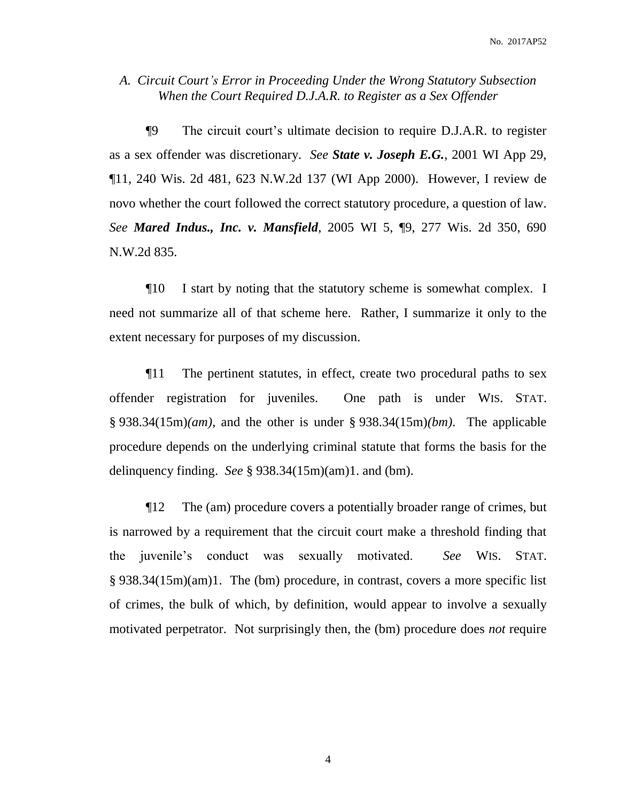## *A. Circuit Court's Error in Proceeding Under the Wrong Statutory Subsection When the Court Required D.J.A.R. to Register as a Sex Offender*

¶9 The circuit court's ultimate decision to require D.J.A.R. to register as a sex offender was discretionary. *See State v. Joseph E.G.*, 2001 WI App 29, ¶11, 240 Wis. 2d 481, 623 N.W.2d 137 (WI App 2000). However, I review de novo whether the court followed the correct statutory procedure, a question of law. *See Mared Indus., Inc. v. Mansfield*, 2005 WI 5, ¶9, 277 Wis. 2d 350, 690 N.W.2d 835.

¶10 I start by noting that the statutory scheme is somewhat complex. I need not summarize all of that scheme here. Rather, I summarize it only to the extent necessary for purposes of my discussion.

¶11 The pertinent statutes, in effect, create two procedural paths to sex offender registration for juveniles. One path is under WIS. STAT. § 938.34(15m)*(am)*, and the other is under § 938.34(15m)*(bm)*. The applicable procedure depends on the underlying criminal statute that forms the basis for the delinquency finding. *See* § 938.34(15m)(am)1. and (bm).

¶12 The (am) procedure covers a potentially broader range of crimes, but is narrowed by a requirement that the circuit court make a threshold finding that the juvenile's conduct was sexually motivated. *See* WIS. STAT. § 938.34(15m)(am)1. The (bm) procedure, in contrast, covers a more specific list of crimes, the bulk of which, by definition, would appear to involve a sexually motivated perpetrator. Not surprisingly then, the (bm) procedure does *not* require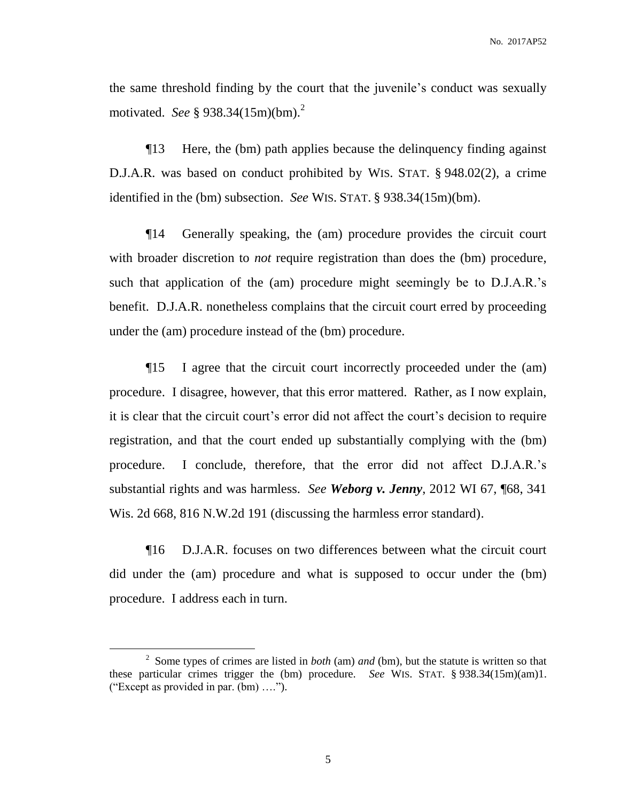the same threshold finding by the court that the juvenile's conduct was sexually motivated. *See* § 938.34(15m)(bm).<sup>2</sup>

¶13 Here, the (bm) path applies because the delinquency finding against D.J.A.R. was based on conduct prohibited by WIS. STAT. § 948.02(2), a crime identified in the (bm) subsection. *See* WIS. STAT. § 938.34(15m)(bm).

¶14 Generally speaking, the (am) procedure provides the circuit court with broader discretion to *not* require registration than does the (bm) procedure, such that application of the (am) procedure might seemingly be to D.J.A.R.'s benefit. D.J.A.R. nonetheless complains that the circuit court erred by proceeding under the (am) procedure instead of the (bm) procedure.

¶15 I agree that the circuit court incorrectly proceeded under the (am) procedure. I disagree, however, that this error mattered. Rather, as I now explain, it is clear that the circuit court's error did not affect the court's decision to require registration, and that the court ended up substantially complying with the (bm) procedure. I conclude, therefore, that the error did not affect D.J.A.R.'s substantial rights and was harmless. *See Weborg v. Jenny*, 2012 WI 67, ¶68, 341 Wis. 2d 668, 816 N.W.2d 191 (discussing the harmless error standard).

¶16 D.J.A.R. focuses on two differences between what the circuit court did under the (am) procedure and what is supposed to occur under the (bm) procedure. I address each in turn.

 $\overline{a}$ 

5

<sup>2</sup> Some types of crimes are listed in *both* (am) *and* (bm), but the statute is written so that these particular crimes trigger the (bm) procedure. *See* WIS. STAT. § 938.34(15m)(am)1. ("Except as provided in par. (bm) ….").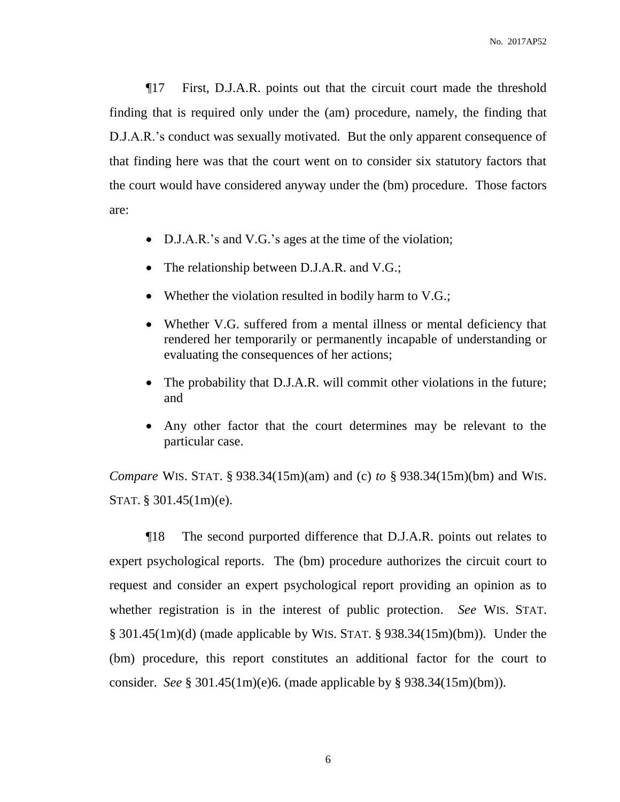¶17 First, D.J.A.R. points out that the circuit court made the threshold finding that is required only under the (am) procedure, namely, the finding that D.J.A.R.'s conduct was sexually motivated. But the only apparent consequence of that finding here was that the court went on to consider six statutory factors that the court would have considered anyway under the (bm) procedure. Those factors are:

- D.J.A.R.'s and V.G.'s ages at the time of the violation;
- The relationship between D.J.A.R. and V.G.;
- Whether the violation resulted in bodily harm to V.G.;
- Whether V.G. suffered from a mental illness or mental deficiency that rendered her temporarily or permanently incapable of understanding or evaluating the consequences of her actions;
- The probability that D.J.A.R. will commit other violations in the future; and
- Any other factor that the court determines may be relevant to the particular case.

*Compare* WIS. STAT. § 938.34(15m)(am) and (c) *to* § 938.34(15m)(bm) and WIS. STAT. § 301.45(1m)(e).

¶18 The second purported difference that D.J.A.R. points out relates to expert psychological reports. The (bm) procedure authorizes the circuit court to request and consider an expert psychological report providing an opinion as to whether registration is in the interest of public protection. *See* WIS. STAT. § 301.45(1m)(d) (made applicable by WIS. STAT. § 938.34(15m)(bm)). Under the (bm) procedure, this report constitutes an additional factor for the court to consider. *See* § 301.45(1m)(e)6. (made applicable by § 938.34(15m)(bm)).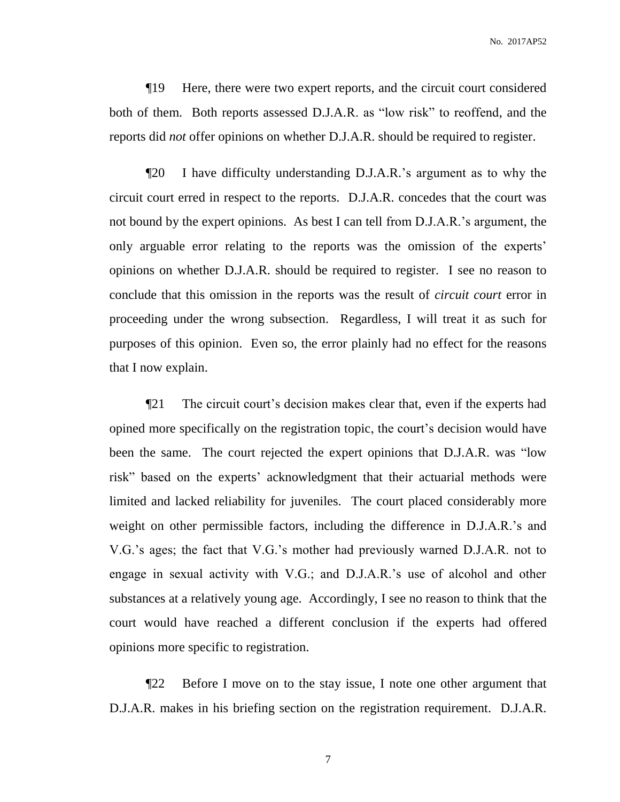¶19 Here, there were two expert reports, and the circuit court considered both of them. Both reports assessed D.J.A.R. as "low risk" to reoffend, and the reports did *not* offer opinions on whether D.J.A.R. should be required to register.

¶20 I have difficulty understanding D.J.A.R.'s argument as to why the circuit court erred in respect to the reports. D.J.A.R. concedes that the court was not bound by the expert opinions. As best I can tell from D.J.A.R.'s argument, the only arguable error relating to the reports was the omission of the experts' opinions on whether D.J.A.R. should be required to register. I see no reason to conclude that this omission in the reports was the result of *circuit court* error in proceeding under the wrong subsection. Regardless, I will treat it as such for purposes of this opinion. Even so, the error plainly had no effect for the reasons that I now explain.

¶21 The circuit court's decision makes clear that, even if the experts had opined more specifically on the registration topic, the court's decision would have been the same. The court rejected the expert opinions that D.J.A.R. was "low risk" based on the experts' acknowledgment that their actuarial methods were limited and lacked reliability for juveniles. The court placed considerably more weight on other permissible factors, including the difference in D.J.A.R.'s and V.G.'s ages; the fact that V.G.'s mother had previously warned D.J.A.R. not to engage in sexual activity with V.G.; and D.J.A.R.'s use of alcohol and other substances at a relatively young age. Accordingly, I see no reason to think that the court would have reached a different conclusion if the experts had offered opinions more specific to registration.

¶22 Before I move on to the stay issue, I note one other argument that D.J.A.R. makes in his briefing section on the registration requirement. D.J.A.R.

7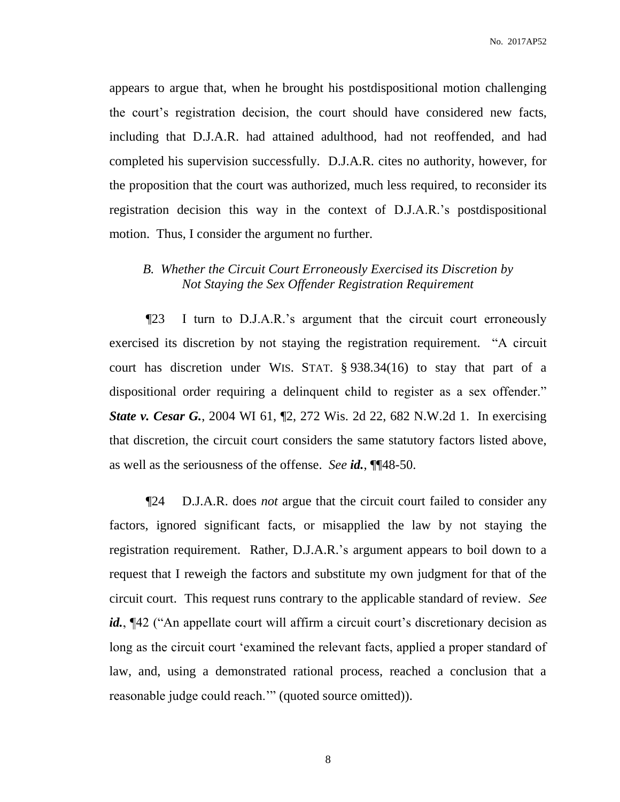appears to argue that, when he brought his postdispositional motion challenging the court's registration decision, the court should have considered new facts, including that D.J.A.R. had attained adulthood, had not reoffended, and had completed his supervision successfully. D.J.A.R. cites no authority, however, for the proposition that the court was authorized, much less required, to reconsider its registration decision this way in the context of D.J.A.R.'s postdispositional motion. Thus, I consider the argument no further.

## *B. Whether the Circuit Court Erroneously Exercised its Discretion by Not Staying the Sex Offender Registration Requirement*

¶23 I turn to D.J.A.R.'s argument that the circuit court erroneously exercised its discretion by not staying the registration requirement. "A circuit court has discretion under WIS. STAT. § 938.34(16) to stay that part of a dispositional order requiring a delinquent child to register as a sex offender." *State v. Cesar G.*, 2004 WI 61, 12, 272 Wis. 2d 22, 682 N.W.2d 1. In exercising that discretion, the circuit court considers the same statutory factors listed above, as well as the seriousness of the offense. *See id.*, ¶¶48-50.

¶24 D.J.A.R. does *not* argue that the circuit court failed to consider any factors, ignored significant facts, or misapplied the law by not staying the registration requirement. Rather, D.J.A.R.'s argument appears to boil down to a request that I reweigh the factors and substitute my own judgment for that of the circuit court. This request runs contrary to the applicable standard of review. *See* id.,  $\llbracket 42 \llbracket$  ("An appellate court will affirm a circuit court's discretionary decision as long as the circuit court 'examined the relevant facts, applied a proper standard of law, and, using a demonstrated rational process, reached a conclusion that a reasonable judge could reach.'" (quoted source omitted)).